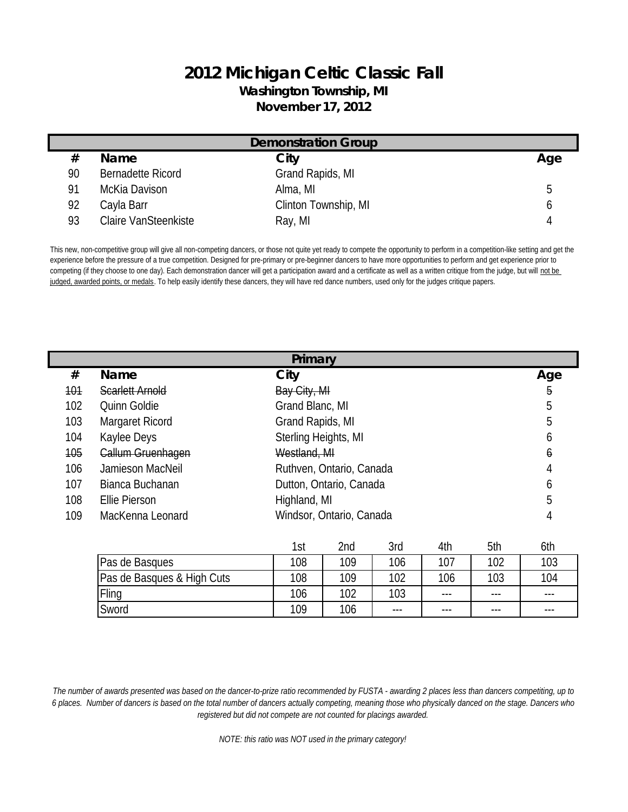## **2012 Michigan Celtic Classic Fall Washington Township, MI November 17, 2012**

| <b>Demonstration Group</b> |                             |                      |     |
|----------------------------|-----------------------------|----------------------|-----|
| #                          | <b>Name</b>                 | City                 | Age |
| 90                         | Bernadette Ricord           | Grand Rapids, MI     |     |
| 91                         | McKia Davison               | Alma, MI             | h   |
| 92                         | Cayla Barr                  | Clinton Township, MI |     |
| 93                         | <b>Claire VanSteenkiste</b> | Ray, MI              |     |

This new, non-competitive group will give all non-competing dancers, or those not quite yet ready to compete the opportunity to perform in a competition-like setting and get the experience before the pressure of a true competition. Designed for pre-primary or pre-beginner dancers to have more opportunities to perform and get experience prior to competing (if they choose to one day). Each demonstration dancer will get a participation award and a certificate as well as a written critique from the judge, but will not be judged, awarded points, or medals. To help easily identify these dancers, they will have red dance numbers, used only for the judges critique papers.

|            | Primary                  |                                                 |     |  |  |
|------------|--------------------------|-------------------------------------------------|-----|--|--|
| #          | <b>Name</b>              | City                                            | Age |  |  |
| <b>101</b> | <b>Scarlett Arnold</b>   | Bay City, MI                                    | 5   |  |  |
| 102        | Quinn Goldie             | Grand Blanc, MI                                 | 5   |  |  |
| 103        | Margaret Ricord          | Grand Rapids, MI                                | 5   |  |  |
| 104        | Kaylee Deys              | Sterling Heights, MI                            | 6   |  |  |
| 105        | <b>Callum Gruenhagen</b> | Westland, MI                                    | 6   |  |  |
| 106        | Jamieson MacNeil         | Ruthven, Ontario, Canada                        | 4   |  |  |
| 107        | Bianca Buchanan          | Dutton, Ontario, Canada                         | 6   |  |  |
| 108        | Ellie Pierson            | Highland, MI                                    | 5   |  |  |
| 109        | MacKenna Leonard         | Windsor, Ontario, Canada                        | 4   |  |  |
|            |                          | 5th<br><b>Ond</b><br><b>S</b> ry<br>1th<br>1ct. | 6th |  |  |

|                            | 1st | 2nd | 3rd     | 4th     | 5th     | 6th     |
|----------------------------|-----|-----|---------|---------|---------|---------|
| Pas de Basques             | 108 | 109 | 106     | 107     | 102     | 103     |
| Pas de Basques & High Cuts | 108 | 109 | 102     | 106     | 103     | 104     |
| Fling                      | 106 | 102 | 103     | $- - -$ | $- - -$ | $- - -$ |
| Sword                      | 109 | 106 | $- - -$ | $- - -$ | $- - -$ | $- - -$ |

*The number of awards presented was based on the dancer-to-prize ratio recommended by FUSTA - awarding 2 places less than dancers competiting, up to 6 places. Number of dancers is based on the total number of dancers actually competing, meaning those who physically danced on the stage. Dancers who registered but did not compete are not counted for placings awarded.*

*NOTE: this ratio was NOT used in the primary category!*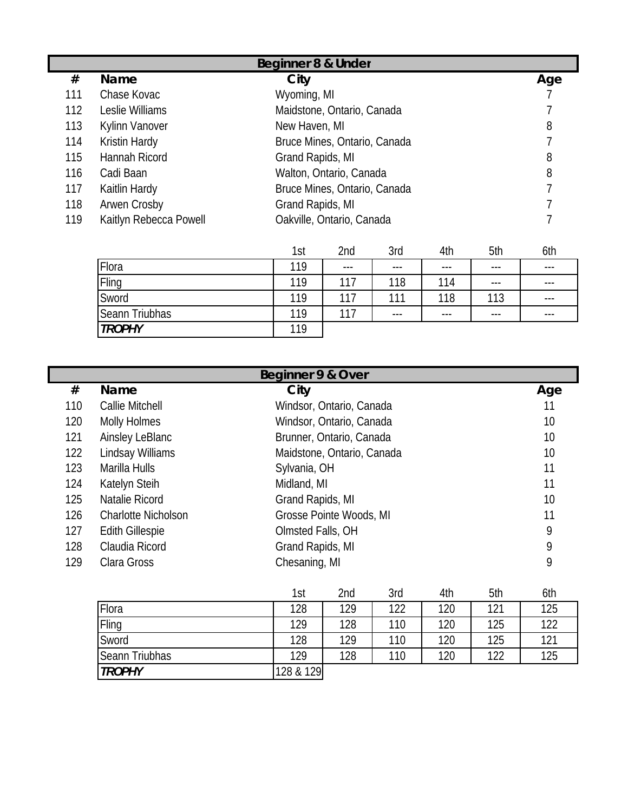|     | Beginner 8 & Under     |                              |     |  |  |
|-----|------------------------|------------------------------|-----|--|--|
| #   | <b>Name</b>            | City                         | Age |  |  |
| 111 | Chase Kovac            | Wyoming, MI                  |     |  |  |
| 112 | Leslie Williams        | Maidstone, Ontario, Canada   |     |  |  |
| 113 | Kylinn Vanover         | New Haven, MI                | 8   |  |  |
| 114 | Kristin Hardy          | Bruce Mines, Ontario, Canada |     |  |  |
| 115 | Hannah Ricord          | Grand Rapids, MI             | 8   |  |  |
| 116 | Cadi Baan              | Walton, Ontario, Canada      | 8   |  |  |
| 117 | Kaitlin Hardy          | Bruce Mines, Ontario, Canada |     |  |  |
| 118 | Arwen Crosby           | Grand Rapids, MI             |     |  |  |
| 119 | Kaitlyn Rebecca Powell | Oakville, Ontario, Canada    |     |  |  |

|                | 1st | 2nd     | 3rd     | 4th     | 5th   | 6th     |
|----------------|-----|---------|---------|---------|-------|---------|
| Flora          | 119 | $- - -$ | $- - -$ | $- - -$ | $---$ | $- - -$ |
| Fling          | 119 | 117     | 118     | 114     | $---$ | $- - -$ |
| Sword          | 119 | 117     | 111     | 118     | 113   | $- - -$ |
| Seann Triubhas | 119 | 117     | $- - -$ | $- - -$ | ---   | $- - -$ |
| <b>TROPHY</b>  | 119 |         |         |         |       |         |

|     | Beginner 9 & Over          |                            |     |  |  |
|-----|----------------------------|----------------------------|-----|--|--|
| #   | <b>Name</b>                | City                       | Age |  |  |
| 110 | Callie Mitchell            | Windsor, Ontario, Canada   | 11  |  |  |
| 120 | Molly Holmes               | Windsor, Ontario, Canada   | 10  |  |  |
| 121 | Ainsley LeBlanc            | Brunner, Ontario, Canada   | 10  |  |  |
| 122 | Lindsay Williams           | Maidstone, Ontario, Canada | 10  |  |  |
| 123 | Marilla Hulls              | Sylvania, OH               | 11  |  |  |
| 124 | Katelyn Steih              | Midland, MI                | 11  |  |  |
| 125 | Natalie Ricord             | Grand Rapids, MI           | 10  |  |  |
| 126 | <b>Charlotte Nicholson</b> | Grosse Pointe Woods, MI    | 11  |  |  |
| 127 | <b>Edith Gillespie</b>     | Olmsted Falls, OH          | 9   |  |  |
| 128 | Claudia Ricord             | Grand Rapids, MI           | 9   |  |  |
| 129 | Clara Gross                | Chesaning, MI              | 9   |  |  |

|                | 1st       | 2nd | 3rd | 4th | 5th | 6th |
|----------------|-----------|-----|-----|-----|-----|-----|
| Flora          | 128       | 129 | 122 | 120 | 121 | 125 |
| Fling          | 129       | 128 | 110 | 120 | 125 | 122 |
| Sword          | 128       | 129 | 110 | 120 | 125 | 121 |
| Seann Triubhas | 129       | 128 | 110 | 120 | 122 | 125 |
| <b>TROPHY</b>  | 128 & 129 |     |     |     |     |     |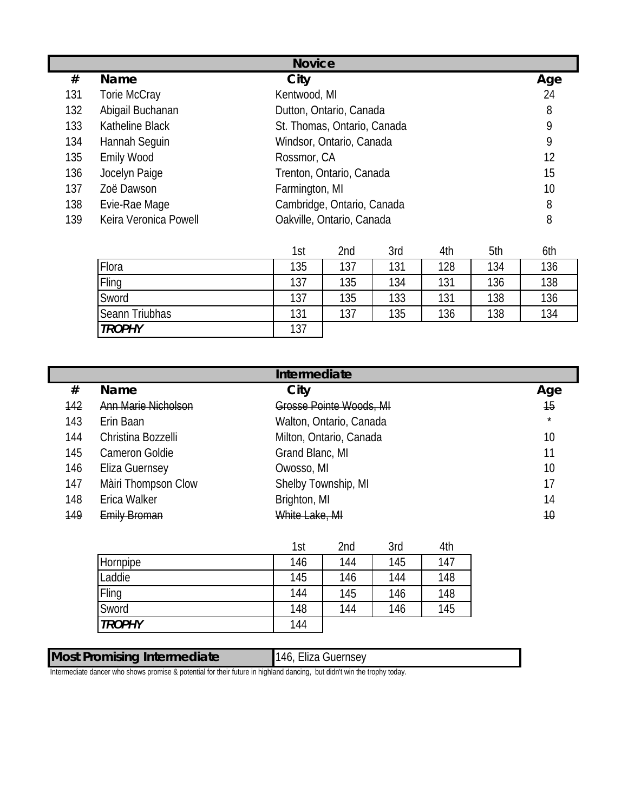| <b>Novice</b> |                       |                             |     |  |
|---------------|-----------------------|-----------------------------|-----|--|
| #             | <b>Name</b>           | City                        | Age |  |
| 131           | Torie McCray          | Kentwood, MI                | 24  |  |
| 132           | Abigail Buchanan      | Dutton, Ontario, Canada     | 8   |  |
| 133           | Katheline Black       | St. Thomas, Ontario, Canada | 9   |  |
| 134           | Hannah Seguin         | Windsor, Ontario, Canada    | 9   |  |
| 135           | <b>Emily Wood</b>     | Rossmor, CA                 | 12  |  |
| 136           | Jocelyn Paige         | Trenton, Ontario, Canada    | 15  |  |
| 137           | Zoë Dawson            | Farmington, MI              | 10  |  |
| 138           | Evie-Rae Mage         | Cambridge, Ontario, Canada  | 8   |  |
| 139           | Keira Veronica Powell | Oakville, Ontario, Canada   | 8   |  |

|                | 1st | 2nd | 3rd | 4th | 5th | 6th |
|----------------|-----|-----|-----|-----|-----|-----|
| Flora          | 135 | 137 | 131 | 128 | 134 | 136 |
| Fling          | 137 | 135 | 134 | 131 | 136 | 138 |
| Sword          | 137 | 135 | 133 | 131 | 138 | 136 |
| Seann Triubhas | 131 | 137 | 135 | 136 | 138 | 134 |
| <b>TROPHY</b>  | 137 |     |     |     |     |     |

| Intermediate |                            |                         |         |  |
|--------------|----------------------------|-------------------------|---------|--|
| #            | <b>Name</b>                | City                    | Age     |  |
| 142          | <b>Ann Marie Nicholson</b> | Grosse Pointe Woods, MI | 15      |  |
| 143          | Erin Baan                  | Walton, Ontario, Canada | $\star$ |  |
| 144          | Christina Bozzelli         | Milton, Ontario, Canada | 10      |  |
| 145          | Cameron Goldie             | Grand Blanc, MI         | 11      |  |
| 146          | <b>Eliza Guernsey</b>      | Owosso, MI              | 10      |  |
| 147          | Màiri Thompson Clow        | Shelby Township, MI     | 17      |  |
| 148          | Erica Walker               | Brighton, MI            | 14      |  |
| 149          | <b>Emily Broman</b>        | White Lake, MI          | 10      |  |

146, Eliza Guernsey

|               | 1st | 2nd | 3rd | 4th |
|---------------|-----|-----|-----|-----|
| Hornpipe      | 146 | 144 | 145 | 147 |
| Laddie        | 145 | 146 | 144 | 148 |
| Fling         | 144 | 145 | 146 | 148 |
| Sword         | 148 | 144 | 146 | 145 |
| <b>TROPHY</b> | 144 |     |     |     |

## **Most Promising Intermediate**

Intermediate dancer who shows promise & potential for their future in highland dancing, but didn't win the trophy today.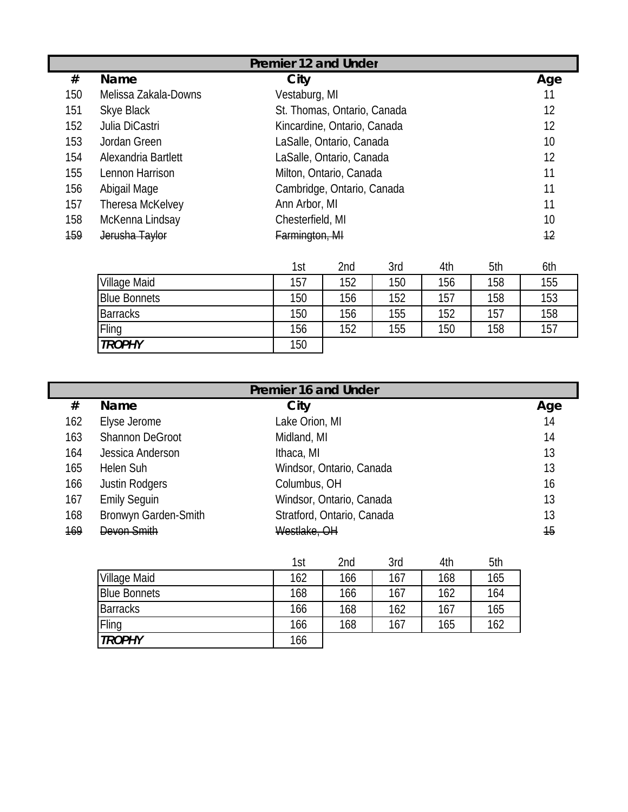|     | Premier 12 and Under |                             |     |  |  |
|-----|----------------------|-----------------------------|-----|--|--|
| #   | <b>Name</b>          | City                        | Age |  |  |
| 150 | Melissa Zakala-Downs | Vestaburg, MI               | 11  |  |  |
| 151 | Skye Black           | St. Thomas, Ontario, Canada | 12  |  |  |
| 152 | Julia DiCastri       | Kincardine, Ontario, Canada | 12  |  |  |
| 153 | Jordan Green         | LaSalle, Ontario, Canada    | 10  |  |  |
| 154 | Alexandria Bartlett  | LaSalle, Ontario, Canada    | 12  |  |  |
| 155 | Lennon Harrison      | Milton, Ontario, Canada     | 11  |  |  |
| 156 | Abigail Mage         | Cambridge, Ontario, Canada  | 11  |  |  |
| 157 | Theresa McKelvey     | Ann Arbor, MI               | 11  |  |  |
| 158 | McKenna Lindsay      | Chesterfield, MI            | 10  |  |  |
| 159 | Jerusha Taylor       | Farmington, MI              | 12  |  |  |

|                 | 1st | 2nd | 3rd | 4th | 5th | 6th |
|-----------------|-----|-----|-----|-----|-----|-----|
| Village Maid    | 157 | 152 | 150 | 156 | 158 | 155 |
| Blue Bonnets    | 150 | 156 | 152 | 157 | 158 | 153 |
| <b>Barracks</b> | 150 | 156 | 155 | 152 | 157 | 158 |
| Fling           | 156 | 152 | 155 | 150 | 158 | 157 |
| <b>TROPHY</b>   | 150 |     |     |     |     |     |

|     | <b>Premier 16 and Under</b> |                            |                 |  |
|-----|-----------------------------|----------------------------|-----------------|--|
| #   | <b>Name</b>                 | City                       | Age             |  |
| 162 | Elyse Jerome                | Lake Orion, MI             | 14              |  |
| 163 | <b>Shannon DeGroot</b>      | Midland, MI                | 14              |  |
| 164 | Jessica Anderson            | Ithaca, MI                 | 13              |  |
| 165 | Helen Suh                   | Windsor, Ontario, Canada   | 13              |  |
| 166 | Justin Rodgers              | Columbus, OH               | 16              |  |
| 167 | <b>Emily Seguin</b>         | Windsor, Ontario, Canada   | 13              |  |
| 168 | Bronwyn Garden-Smith        | Stratford, Ontario, Canada | 13              |  |
| 169 | Devon Smith                 | Westlake, OH               | $\overline{15}$ |  |

|                     | 1st | 2nd | 3rd | 4th | 5th |
|---------------------|-----|-----|-----|-----|-----|
| Village Maid        | 162 | 166 | 167 | 168 | 165 |
| <b>Blue Bonnets</b> | 168 | 166 | 167 | 162 | 164 |
| <b>Barracks</b>     | 166 | 168 | 162 | 167 | 165 |
| Fling               | 166 | 168 | 167 | 165 | 162 |
| <b>TROPHY</b>       | 166 |     |     |     |     |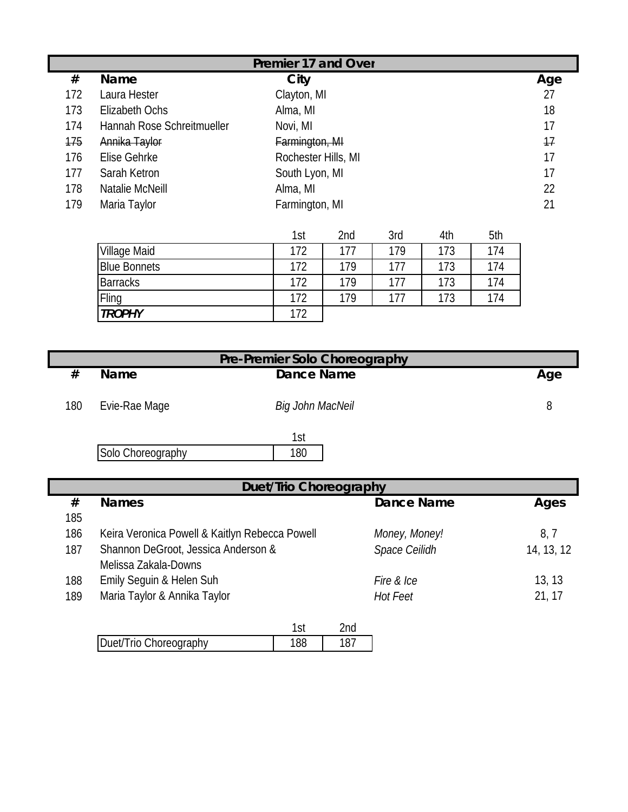|     | Premier 17 and Over        |                     |     |  |
|-----|----------------------------|---------------------|-----|--|
| #   | <b>Name</b>                | City                | Age |  |
| 172 | Laura Hester               | Clayton, MI         | 27  |  |
| 173 | Elizabeth Ochs             | Alma, MI            | 18  |  |
| 174 | Hannah Rose Schreitmueller | Novi, MI            | 17  |  |
| 175 | Annika Taylor              | Farmington, MI      | 17  |  |
| 176 | Elise Gehrke               | Rochester Hills, MI | 17  |  |
| 177 | Sarah Ketron               | South Lyon, MI      | 17  |  |
| 178 | Natalie McNeill            | Alma, MI            | 22  |  |
| 179 | Maria Taylor               | Farmington, MI      | 21  |  |

|                     | 1st | 2nd | 3rd | 4th | 5th |
|---------------------|-----|-----|-----|-----|-----|
| <b>Village Maid</b> | 172 | 177 | 179 | 173 | 174 |
| <b>Blue Bonnets</b> | 172 | 179 | 177 | 173 | 174 |
| <b>Barracks</b>     | 172 | 179 | 177 | 173 | 174 |
| Fling               | 172 | 179 | 177 | 173 | 174 |
| <b>TROPHY</b>       | 172 |     |     |     |     |

| Pre-Premier Solo Choreography |                   |                  |  |     |  |
|-------------------------------|-------------------|------------------|--|-----|--|
| #                             | <b>Name</b>       | Dance Name       |  | Age |  |
|                               |                   |                  |  |     |  |
| 180                           | Evie-Rae Mage     | Big John MacNeil |  | 8   |  |
|                               |                   |                  |  |     |  |
|                               |                   | 1st              |  |     |  |
|                               | Solo Choreography | 180              |  |     |  |

|     | <b>Duet/Trio Choreography</b>                  |                   |            |  |  |  |
|-----|------------------------------------------------|-------------------|------------|--|--|--|
| #   | <b>Names</b>                                   | <b>Dance Name</b> | Ages       |  |  |  |
| 185 |                                                |                   |            |  |  |  |
| 186 | Keira Veronica Powell & Kaitlyn Rebecca Powell | Money, Money!     | 8, 7       |  |  |  |
| 187 | Shannon DeGroot, Jessica Anderson &            | Space Ceilidh     | 14, 13, 12 |  |  |  |
|     | Melissa Zakala-Downs                           |                   |            |  |  |  |
| 188 | Emily Seguin & Helen Suh                       | Fire & Ice        | 13, 13     |  |  |  |
| 189 | Maria Taylor & Annika Taylor                   | Hot Feet          | 21, 17     |  |  |  |
|     |                                                |                   |            |  |  |  |
|     | 1 <sub>0</sub>                                 | 2nd               |            |  |  |  |

| Duet/Trio Choreography |  |
|------------------------|--|